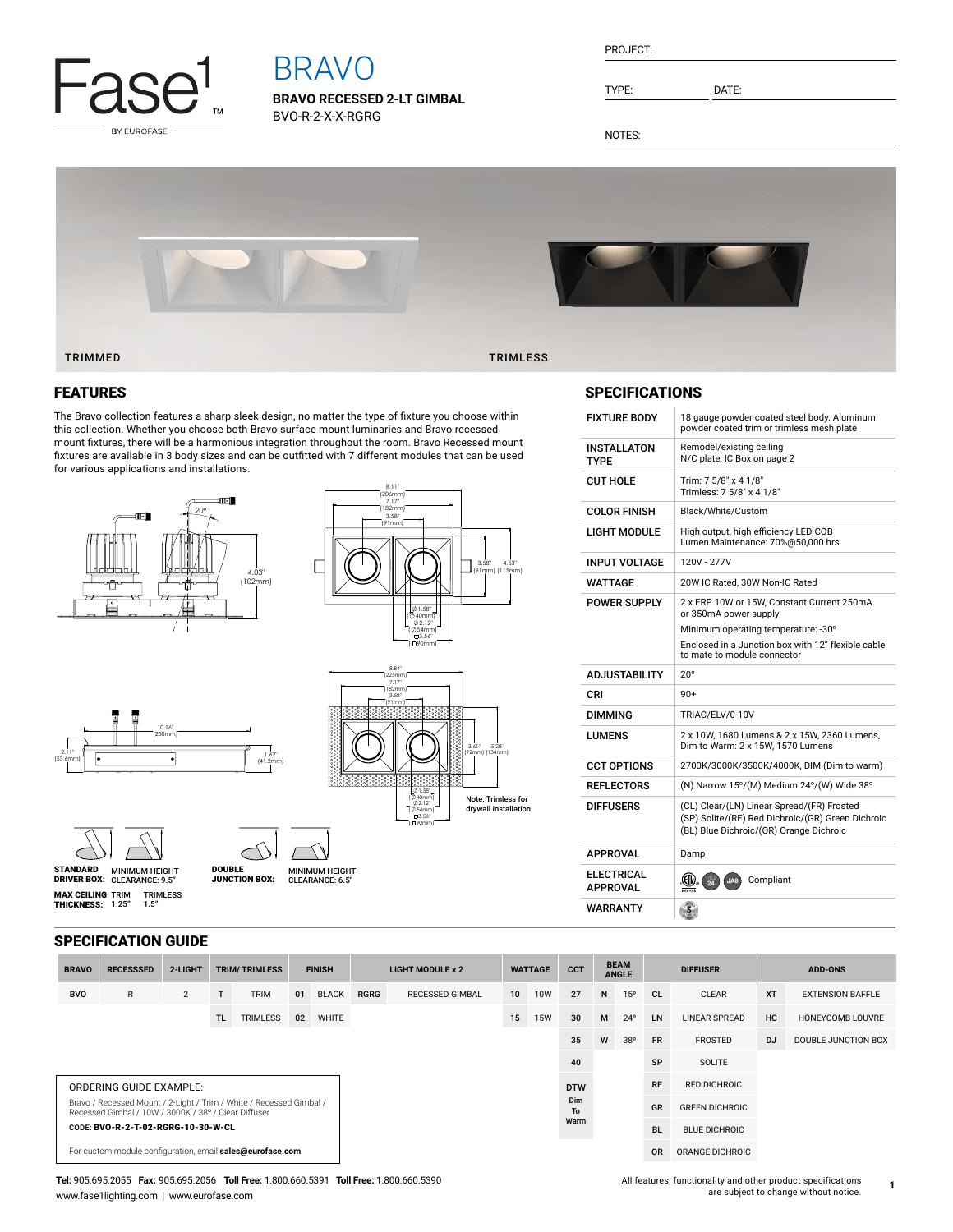

# BRAVO

**BRAVO RECESSED 2-LT GIMBAL** BVO-R-2-X-X-RGRG

| PROJECT: |  |
|----------|--|
|          |  |
|          |  |

TYPE: DATE:

NOTES:



### FEATURES

The Bravo collection features a sharp sleek design, no matter the type of fixture you choose within this collection. Whether you choose both Bravo surface mount luminaries and Bravo recessed mount fixtures, there will be a harmonious integration throughout the room. Bravo Recessed mount fixtures are available in 3 body sizes and can be outfitted with 7 different modules that can be used for various applications and installations.





8.11"

1.58" ( 40mm) 3.56" ( 90mm) 2.12" ( **@** 54mm)

#### 10.16" (258mm) 1.62"  $\overline{14}$



2.11" (53.6mm)



**MAX CEILING** TRIM<br>**THICKNESS:** 1.25" TRIMLESS 1.5"

MINIMUM HEIGHT CLEARANCE: 9.5" STANDARD DRIVER BOX: MINIMUM HEIGHT MINIMUM HEIGHT<br>CLEARANCE: 6.5" DOUBLE JUNCTION BOX:

SPECIFICATION GUIDE

| <b>BRAVO</b>                                                                                                                | <b>RECESSSED</b> | 2-LIGHT        |     | <b>TRIM/TRIMLESS</b> | <b>FINISH</b> |              | <b>LIGHT MODULE x 2</b> |                        | <b>WATTAGE</b> |            | <b>CCT</b> |    | <b>BEAM</b><br><b>ANGLE</b> |                      | <b>DIFFUSER</b><br><b>ADD-ONS</b> |           |                         |
|-----------------------------------------------------------------------------------------------------------------------------|------------------|----------------|-----|----------------------|---------------|--------------|-------------------------|------------------------|----------------|------------|------------|----|-----------------------------|----------------------|-----------------------------------|-----------|-------------------------|
| <b>BVO</b>                                                                                                                  | $\mathsf{R}$     | $\overline{2}$ |     | <b>TRIM</b>          | 01            | <b>BLACK</b> | <b>RGRG</b>             | <b>RECESSED GIMBAL</b> | 10             | <b>10W</b> | 27         | N  | 15 <sup>o</sup>             | <b>CL</b>            | <b>CLEAR</b>                      | <b>XT</b> | <b>EXTENSION BAFFLE</b> |
|                                                                                                                             |                  |                | TL. | <b>TRIMLESS</b>      | 02            | WHITE        |                         |                        | 15             | <b>15W</b> | 30         | M  | $24^{\circ}$                | LN                   | <b>LINEAR SPREAD</b>              | HC        | HONEYCOMB LOUVRE        |
|                                                                                                                             |                  |                |     |                      |               |              |                         |                        |                |            | 35         | W  | 38°                         | <b>FR</b>            | <b>FROSTED</b>                    | DJ        | DOUBLE JUNCTION BOX     |
|                                                                                                                             |                  |                |     |                      |               |              |                         |                        |                |            | 40         |    |                             | SP                   | <b>SOLITE</b>                     |           |                         |
| ORDERING GUIDE EXAMPLE:                                                                                                     |                  |                |     |                      |               |              |                         |                        |                | <b>DTW</b> |            |    | <b>RE</b>                   | <b>RED DICHROIC</b>  |                                   |           |                         |
| Bravo / Recessed Mount / 2-Light / Trim / White / Recessed Gimbal /<br>Recessed Gimbal / 10W / 3000K / 38° / Clear Diffuser |                  |                |     |                      |               |              | Dim<br>To               |                        |                |            |            | GR | <b>GREEN DICHROIC</b>       |                      |                                   |           |                         |
| CODE: BVO-R-2-T-02-RGRG-10-30-W-CL                                                                                          |                  |                |     |                      |               |              |                         |                        |                | Warm       |            |    | <b>BL</b>                   | <b>BLUE DICHROIC</b> |                                   |           |                         |
| For custom module configuration, email sales@eurofase.com                                                                   |                  |                |     |                      |               |              |                         |                        |                |            |            |    | <b>OR</b>                   | ORANGE DICHROIC      |                                   |           |                         |

Note: Trimless for drywall installation

#### **Tel:** 905.695.2055 **Fax:** 905.695.2056 **Toll Free:** 1.800.660.5391 **Toll Free:** 1.800.660.5390 www.fase1lighting.com | www.eurofase.com

### SPECIFICATIONS

| <b>FIXTURE BODY</b>                  | 18 gauge powder coated steel body. Aluminum<br>powder coated trim or trimless mesh plate                                                   |
|--------------------------------------|--------------------------------------------------------------------------------------------------------------------------------------------|
| <b>INSTALLATON</b><br><b>TYPF</b>    | Remodel/existing ceiling<br>N/C plate, IC Box on page 2                                                                                    |
| <b>CUT HOLE</b>                      | Trim: 7 5/8" x 4 1/8"<br>Trimless: 7 5/8" x 4 1/8"                                                                                         |
| <b>COLOR FINISH</b>                  | Black/White/Custom                                                                                                                         |
| LIGHT MODULE                         | High output, high efficiency LED COB<br>Lumen Maintenance: 70%@50,000 hrs                                                                  |
| <b>INPUT VOLTAGE</b>                 | 120V - 277V                                                                                                                                |
| WATTAGE                              | 20W IC Rated, 30W Non-IC Rated                                                                                                             |
| <b>POWER SUPPLY</b>                  | 2 x ERP 10W or 15W. Constant Current 250mA<br>or 350mA power supply<br>Minimum operating temperature: -30°                                 |
|                                      | Enclosed in a Junction box with 12" flexible cable<br>to mate to module connector                                                          |
|                                      |                                                                                                                                            |
| <b>ADJUSTABILITY</b>                 | $20^{\circ}$                                                                                                                               |
| CRI                                  | $90+$                                                                                                                                      |
| <b>DIMMING</b>                       | TRIAC/ELV/0-10V                                                                                                                            |
| LUMENS                               | 2 x 10W, 1680 Lumens & 2 x 15W, 2360 Lumens,<br>Dim to Warm: 2 x 15W, 1570 Lumens                                                          |
| <b>CCT OPTIONS</b>                   | 2700K/3000K/3500K/4000K, DIM (Dim to warm)                                                                                                 |
| <b>REFLECTORS</b>                    | (N) Narrow 15°/(M) Medium 24°/(W) Wide 38°                                                                                                 |
| <b>DIFFUSERS</b>                     | (CL) Clear/(LN) Linear Spread/(FR) Frosted<br>(SP) Solite/(RE) Red Dichroic/(GR) Green Dichroic<br>(BL) Blue Dichroic/(OR) Orange Dichroic |
| <b>APPROVAL</b>                      | Damp                                                                                                                                       |
| <b>ELECTRICAL</b><br><b>APPROVAL</b> | .GII<br>Compliant<br>JA8<br>$\overline{24}$                                                                                                |

| All features, functionality and other product specifications |  |
|--------------------------------------------------------------|--|
| are subject to change without notice.                        |  |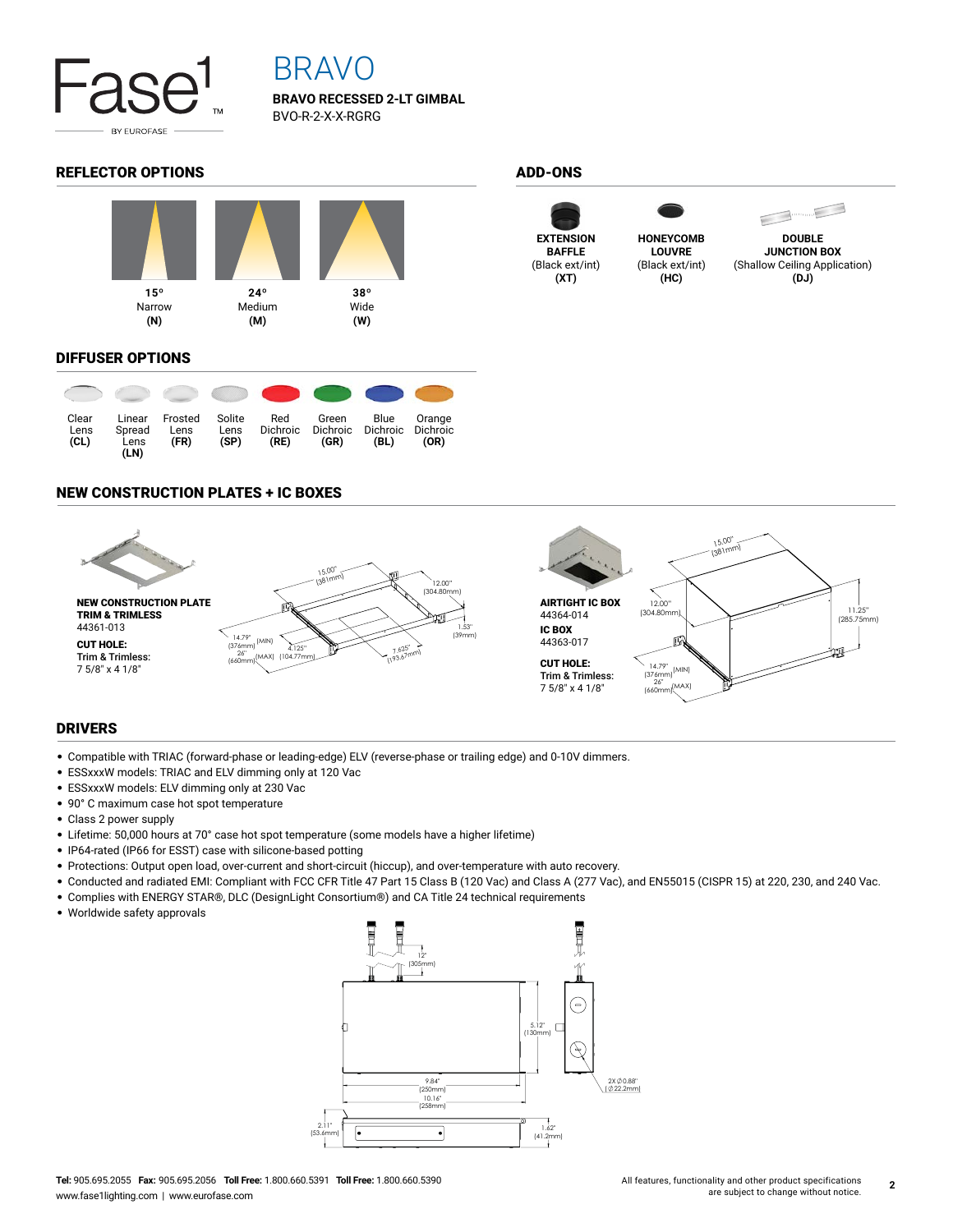

## BRAVO

**BRAVO RECESSED 2-LT GIMBAL** BVO-R-2-X-X-RGRG

#### REFLECTOR OPTIONS ADD-ONS



#### DIFFUSER OPTIONS

| Clear<br>Lens<br>(CL) | Linear<br>Spread<br>Lens<br>(LN) | Frosted<br>Lens<br>(FR) | Solite<br>Lens<br>(SP) | Red<br><b>Dichroic</b><br>(RE) | Green<br><b>Dichroic</b><br>(GR) | Blue<br><b>Dichroic</b><br>(BL) | Orange<br><b>Dichroic</b><br>(OR) |
|-----------------------|----------------------------------|-------------------------|------------------------|--------------------------------|----------------------------------|---------------------------------|-----------------------------------|

#### NEW CONSTRUCTION PLATES + IC BOXES



#### DRIVERS

- Compatible with TRIAC (forward-phase or leading-edge) ELV (reverse-phase or trailing edge) and 0-10V dimmers.
- ESSxxxW models: TRIAC and ELV dimming only at 120 Vac
- ESSxxxW models: ELV dimming only at 230 Vac
- 90° C maximum case hot spot temperature
- Class 2 power supply
- Lifetime: 50,000 hours at 70° case hot spot temperature (some models have a higher lifetime)
- IP64-rated (IP66 for ESST) case with silicone-based potting
- Protections: Output open load, over-current and short-circuit (hiccup), and over-temperature with auto recovery.
- Conducted and radiated EMI: Compliant with FCC CFR Title 47 Part 15 Class B (120 Vac) and Class A (277 Vac), and EN55015 (CISPR 15) at 220, 230, and 240 Vac.
- Complies with ENERGY STAR®, DLC (DesignLight Consortium®) and CA Title 24 technical requirements
- Worldwide safety approvals







**(HC)**



**DOUBLE JUNCTION BOX** (Shallow Ceiling Application) **(DJ)**